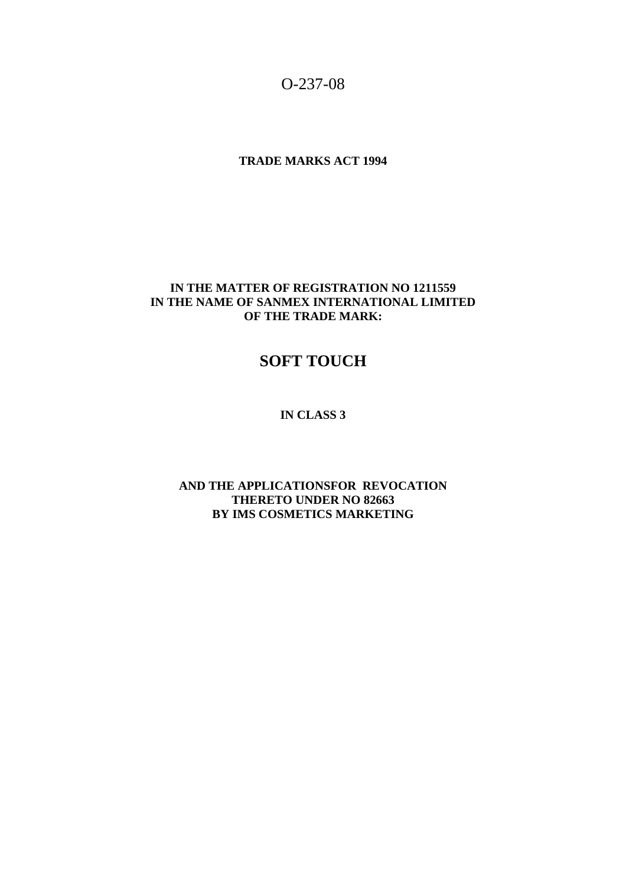O-237-08

## **TRADE MARKS ACT 1994**

### **IN THE MATTER OF REGISTRATION NO 1211559 IN THE NAME OF SANMEX INTERNATIONAL LIMITED OF THE TRADE MARK:**

# **SOFT TOUCH**

#### **IN CLASS 3**

#### **AND THE APPLICATIONSFOR REVOCATION THERETO UNDER NO 82663 BY IMS COSMETICS MARKETING**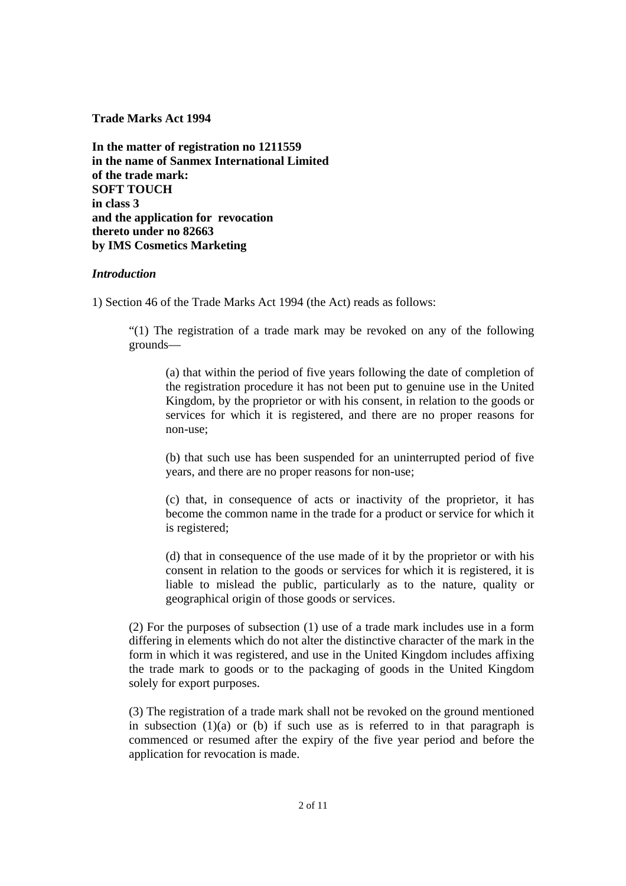**Trade Marks Act 1994** 

**In the matter of registration no 1211559 in the name of Sanmex International Limited of the trade mark: SOFT TOUCH in class 3 and the application for revocation thereto under no 82663 by IMS Cosmetics Marketing** 

#### *Introduction*

1) Section 46 of the Trade Marks Act 1994 (the Act) reads as follows:

 "(1) The registration of a trade mark may be revoked on any of the following grounds—

(a) that within the period of five years following the date of completion of the registration procedure it has not been put to genuine use in the United Kingdom, by the proprietor or with his consent, in relation to the goods or services for which it is registered, and there are no proper reasons for non-use;

(b) that such use has been suspended for an uninterrupted period of five years, and there are no proper reasons for non-use;

(c) that, in consequence of acts or inactivity of the proprietor, it has become the common name in the trade for a product or service for which it is registered;

(d) that in consequence of the use made of it by the proprietor or with his consent in relation to the goods or services for which it is registered, it is liable to mislead the public, particularly as to the nature, quality or geographical origin of those goods or services.

(2) For the purposes of subsection (1) use of a trade mark includes use in a form differing in elements which do not alter the distinctive character of the mark in the form in which it was registered, and use in the United Kingdom includes affixing the trade mark to goods or to the packaging of goods in the United Kingdom solely for export purposes.

(3) The registration of a trade mark shall not be revoked on the ground mentioned in subsection  $(1)(a)$  or  $(b)$  if such use as is referred to in that paragraph is commenced or resumed after the expiry of the five year period and before the application for revocation is made.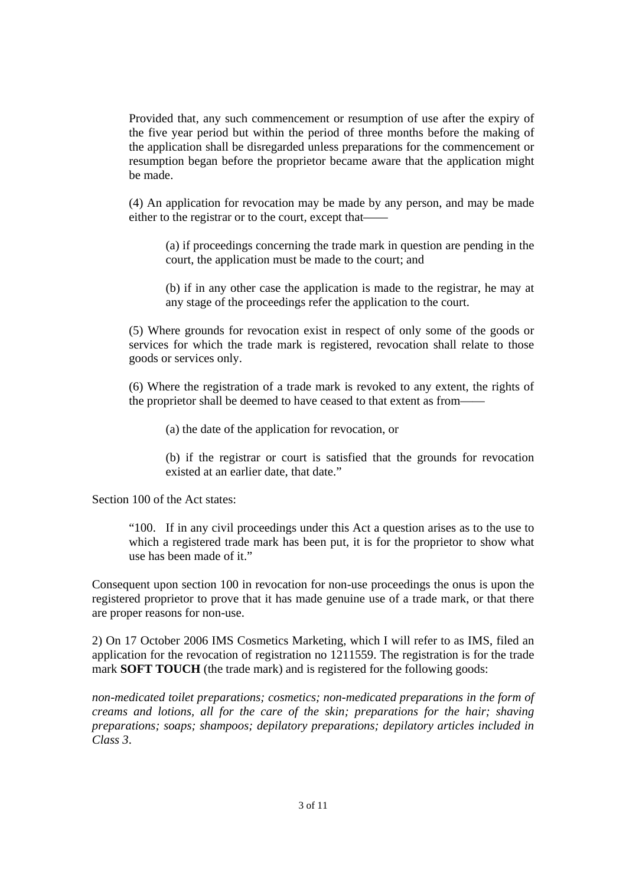Provided that, any such commencement or resumption of use after the expiry of the five year period but within the period of three months before the making of the application shall be disregarded unless preparations for the commencement or resumption began before the proprietor became aware that the application might be made.

(4) An application for revocation may be made by any person, and may be made either to the registrar or to the court, except that——

(a) if proceedings concerning the trade mark in question are pending in the court, the application must be made to the court; and

(b) if in any other case the application is made to the registrar, he may at any stage of the proceedings refer the application to the court.

(5) Where grounds for revocation exist in respect of only some of the goods or services for which the trade mark is registered, revocation shall relate to those goods or services only.

(6) Where the registration of a trade mark is revoked to any extent, the rights of the proprietor shall be deemed to have ceased to that extent as from——

(a) the date of the application for revocation, or

(b) if the registrar or court is satisfied that the grounds for revocation existed at an earlier date, that date."

Section 100 of the Act states:

"100. If in any civil proceedings under this Act a question arises as to the use to which a registered trade mark has been put, it is for the proprietor to show what use has been made of it."

Consequent upon section 100 in revocation for non-use proceedings the onus is upon the registered proprietor to prove that it has made genuine use of a trade mark, or that there are proper reasons for non-use.

2) On 17 October 2006 IMS Cosmetics Marketing, which I will refer to as IMS, filed an application for the revocation of registration no 1211559. The registration is for the trade mark **SOFT TOUCH** (the trade mark) and is registered for the following goods:

*non-medicated toilet preparations; cosmetics; non-medicated preparations in the form of creams and lotions, all for the care of the skin; preparations for the hair; shaving preparations; soaps; shampoos; depilatory preparations; depilatory articles included in Class 3*.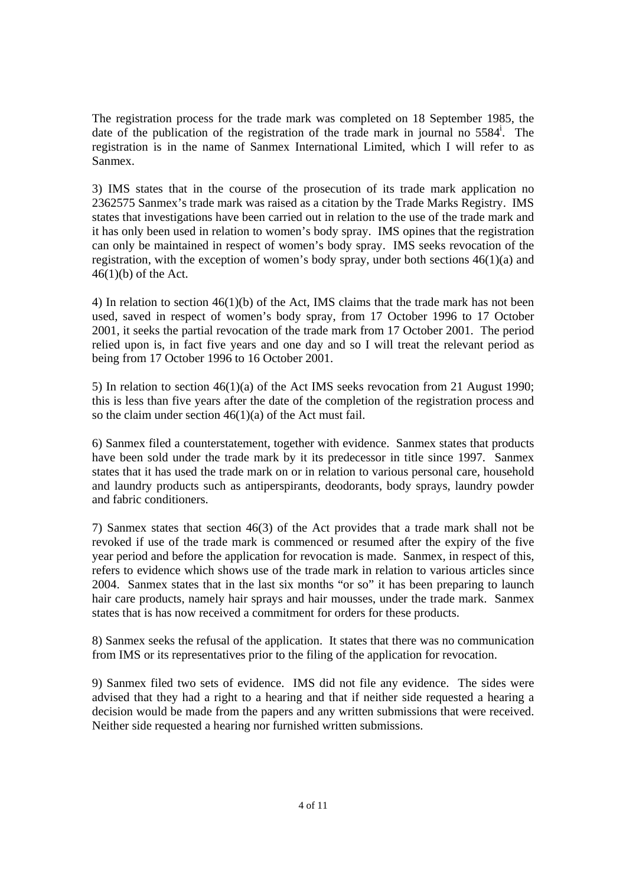The registration process for the trade mark was completed on 18 September 1985, the date of the publication of the registration of the trade mark in journal no 5584<sup>i</sup>. The registration is in the name of Sanmex International Limited, which I will refer to as Sanmex.

3) IMS states that in the course of the prosecution of its trade mark application no 2362575 Sanmex's trade mark was raised as a citation by the Trade Marks Registry. IMS states that investigations have been carried out in relation to the use of the trade mark and it has only been used in relation to women's body spray. IMS opines that the registration can only be maintained in respect of women's body spray. IMS seeks revocation of the registration, with the exception of women's body spray, under both sections 46(1)(a) and  $46(1)(b)$  of the Act.

4) In relation to section 46(1)(b) of the Act, IMS claims that the trade mark has not been used, saved in respect of women's body spray, from 17 October 1996 to 17 October 2001, it seeks the partial revocation of the trade mark from 17 October 2001. The period relied upon is, in fact five years and one day and so I will treat the relevant period as being from 17 October 1996 to 16 October 2001.

5) In relation to section 46(1)(a) of the Act IMS seeks revocation from 21 August 1990; this is less than five years after the date of the completion of the registration process and so the claim under section 46(1)(a) of the Act must fail.

6) Sanmex filed a counterstatement, together with evidence. Sanmex states that products have been sold under the trade mark by it its predecessor in title since 1997. Sanmex states that it has used the trade mark on or in relation to various personal care, household and laundry products such as antiperspirants, deodorants, body sprays, laundry powder and fabric conditioners.

7) Sanmex states that section 46(3) of the Act provides that a trade mark shall not be revoked if use of the trade mark is commenced or resumed after the expiry of the five year period and before the application for revocation is made. Sanmex, in respect of this, refers to evidence which shows use of the trade mark in relation to various articles since 2004. Sanmex states that in the last six months "or so" it has been preparing to launch hair care products, namely hair sprays and hair mousses, under the trade mark. Sanmex states that is has now received a commitment for orders for these products.

8) Sanmex seeks the refusal of the application. It states that there was no communication from IMS or its representatives prior to the filing of the application for revocation.

9) Sanmex filed two sets of evidence. IMS did not file any evidence. The sides were advised that they had a right to a hearing and that if neither side requested a hearing a decision would be made from the papers and any written submissions that were received. Neither side requested a hearing nor furnished written submissions.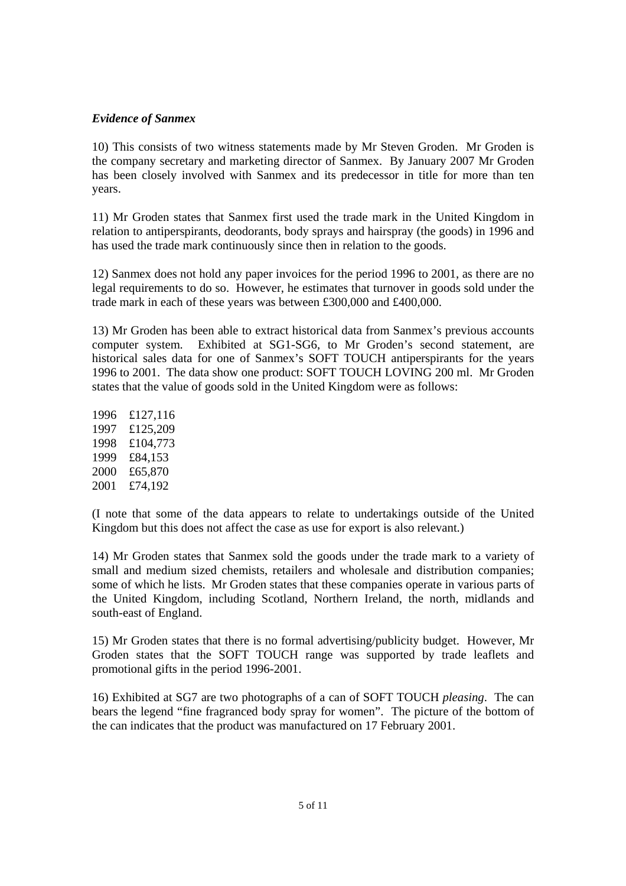#### *Evidence of Sanmex*

10) This consists of two witness statements made by Mr Steven Groden. Mr Groden is the company secretary and marketing director of Sanmex. By January 2007 Mr Groden has been closely involved with Sanmex and its predecessor in title for more than ten years.

11) Mr Groden states that Sanmex first used the trade mark in the United Kingdom in relation to antiperspirants, deodorants, body sprays and hairspray (the goods) in 1996 and has used the trade mark continuously since then in relation to the goods.

12) Sanmex does not hold any paper invoices for the period 1996 to 2001, as there are no legal requirements to do so. However, he estimates that turnover in goods sold under the trade mark in each of these years was between £300,000 and £400,000.

13) Mr Groden has been able to extract historical data from Sanmex's previous accounts computer system. Exhibited at SG1-SG6, to Mr Groden's second statement, are historical sales data for one of Sanmex's SOFT TOUCH antiperspirants for the years 1996 to 2001. The data show one product: SOFT TOUCH LOVING 200 ml. Mr Groden states that the value of goods sold in the United Kingdom were as follows:

1996 £127,116 1997 £125,209 1998 £104,773 1999 £84,153 2000 £65,870 2001 £74,192

(I note that some of the data appears to relate to undertakings outside of the United Kingdom but this does not affect the case as use for export is also relevant.)

14) Mr Groden states that Sanmex sold the goods under the trade mark to a variety of small and medium sized chemists, retailers and wholesale and distribution companies; some of which he lists. Mr Groden states that these companies operate in various parts of the United Kingdom, including Scotland, Northern Ireland, the north, midlands and south-east of England.

15) Mr Groden states that there is no formal advertising/publicity budget. However, Mr Groden states that the SOFT TOUCH range was supported by trade leaflets and promotional gifts in the period 1996-2001.

16) Exhibited at SG7 are two photographs of a can of SOFT TOUCH *pleasing*. The can bears the legend "fine fragranced body spray for women". The picture of the bottom of the can indicates that the product was manufactured on 17 February 2001.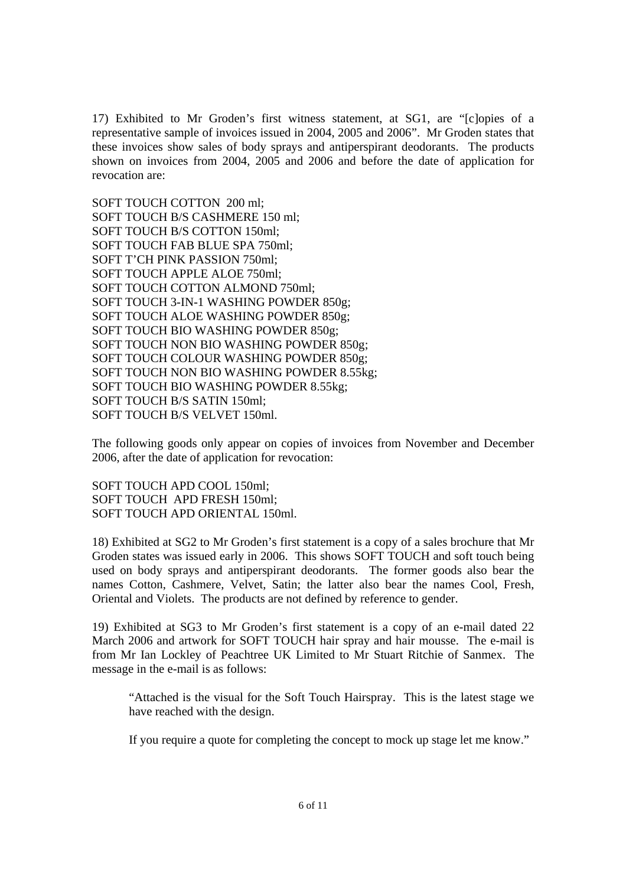17) Exhibited to Mr Groden's first witness statement, at SG1, are "[c]opies of a representative sample of invoices issued in 2004, 2005 and 2006". Mr Groden states that these invoices show sales of body sprays and antiperspirant deodorants. The products shown on invoices from 2004, 2005 and 2006 and before the date of application for revocation are:

SOFT TOUCH COTTON 200 ml; SOFT TOUCH B/S CASHMERE 150 ml; SOFT TOUCH B/S COTTON 150ml; SOFT TOUCH FAB BLUE SPA 750ml; SOFT T'CH PINK PASSION 750ml; SOFT TOUCH APPLE ALOE 750ml; SOFT TOUCH COTTON ALMOND 750ml; SOFT TOUCH 3-IN-1 WASHING POWDER 850g; SOFT TOUCH ALOE WASHING POWDER 850g; SOFT TOUCH BIO WASHING POWDER 850g; SOFT TOUCH NON BIO WASHING POWDER 850g; SOFT TOUCH COLOUR WASHING POWDER 850g; SOFT TOUCH NON BIO WASHING POWDER 8.55kg; SOFT TOUCH BIO WASHING POWDER 8.55kg; SOFT TOUCH B/S SATIN 150ml; SOFT TOUCH B/S VELVET 150ml.

The following goods only appear on copies of invoices from November and December 2006, after the date of application for revocation:

SOFT TOUCH APD COOL 150ml; SOFT TOUCH APD FRESH 150ml; SOFT TOUCH APD ORIENTAL 150ml.

18) Exhibited at SG2 to Mr Groden's first statement is a copy of a sales brochure that Mr Groden states was issued early in 2006. This shows SOFT TOUCH and soft touch being used on body sprays and antiperspirant deodorants. The former goods also bear the names Cotton, Cashmere, Velvet, Satin; the latter also bear the names Cool, Fresh, Oriental and Violets. The products are not defined by reference to gender.

19) Exhibited at SG3 to Mr Groden's first statement is a copy of an e-mail dated 22 March 2006 and artwork for SOFT TOUCH hair spray and hair mousse. The e-mail is from Mr Ian Lockley of Peachtree UK Limited to Mr Stuart Ritchie of Sanmex. The message in the e-mail is as follows:

"Attached is the visual for the Soft Touch Hairspray. This is the latest stage we have reached with the design.

If you require a quote for completing the concept to mock up stage let me know."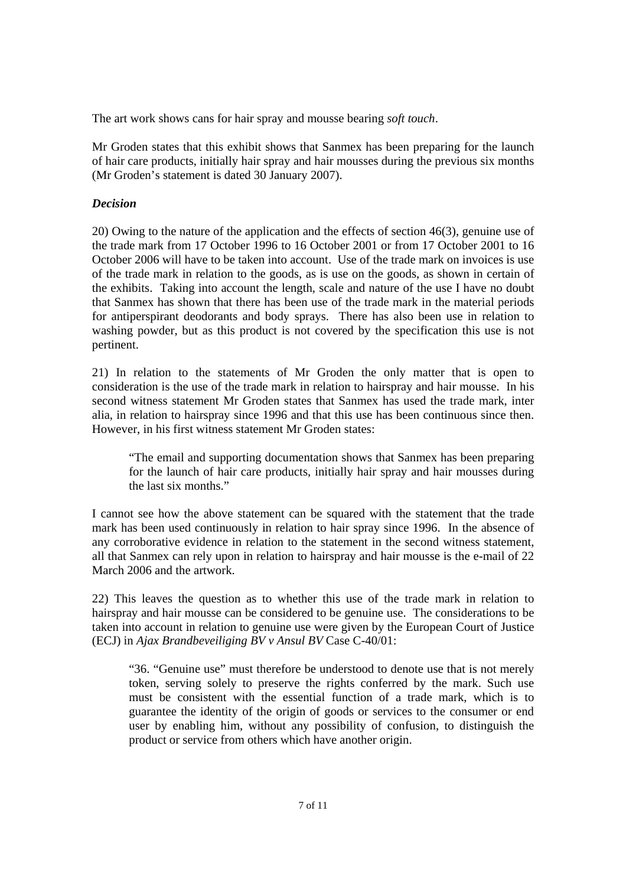The art work shows cans for hair spray and mousse bearing *soft touch*.

Mr Groden states that this exhibit shows that Sanmex has been preparing for the launch of hair care products, initially hair spray and hair mousses during the previous six months (Mr Groden's statement is dated 30 January 2007).

### *Decision*

20) Owing to the nature of the application and the effects of section 46(3), genuine use of the trade mark from 17 October 1996 to 16 October 2001 or from 17 October 2001 to 16 October 2006 will have to be taken into account. Use of the trade mark on invoices is use of the trade mark in relation to the goods, as is use on the goods, as shown in certain of the exhibits. Taking into account the length, scale and nature of the use I have no doubt that Sanmex has shown that there has been use of the trade mark in the material periods for antiperspirant deodorants and body sprays. There has also been use in relation to washing powder, but as this product is not covered by the specification this use is not pertinent.

21) In relation to the statements of Mr Groden the only matter that is open to consideration is the use of the trade mark in relation to hairspray and hair mousse. In his second witness statement Mr Groden states that Sanmex has used the trade mark, inter alia, in relation to hairspray since 1996 and that this use has been continuous since then. However, in his first witness statement Mr Groden states:

"The email and supporting documentation shows that Sanmex has been preparing for the launch of hair care products, initially hair spray and hair mousses during the last six months."

I cannot see how the above statement can be squared with the statement that the trade mark has been used continuously in relation to hair spray since 1996. In the absence of any corroborative evidence in relation to the statement in the second witness statement, all that Sanmex can rely upon in relation to hairspray and hair mousse is the e-mail of 22 March 2006 and the artwork.

22) This leaves the question as to whether this use of the trade mark in relation to hairspray and hair mousse can be considered to be genuine use. The considerations to be taken into account in relation to genuine use were given by the European Court of Justice (ECJ) in *Ajax Brandbeveiliging BV v Ansul BV* Case C-40/01:

 "36. "Genuine use" must therefore be understood to denote use that is not merely token, serving solely to preserve the rights conferred by the mark. Such use must be consistent with the essential function of a trade mark, which is to guarantee the identity of the origin of goods or services to the consumer or end user by enabling him, without any possibility of confusion, to distinguish the product or service from others which have another origin.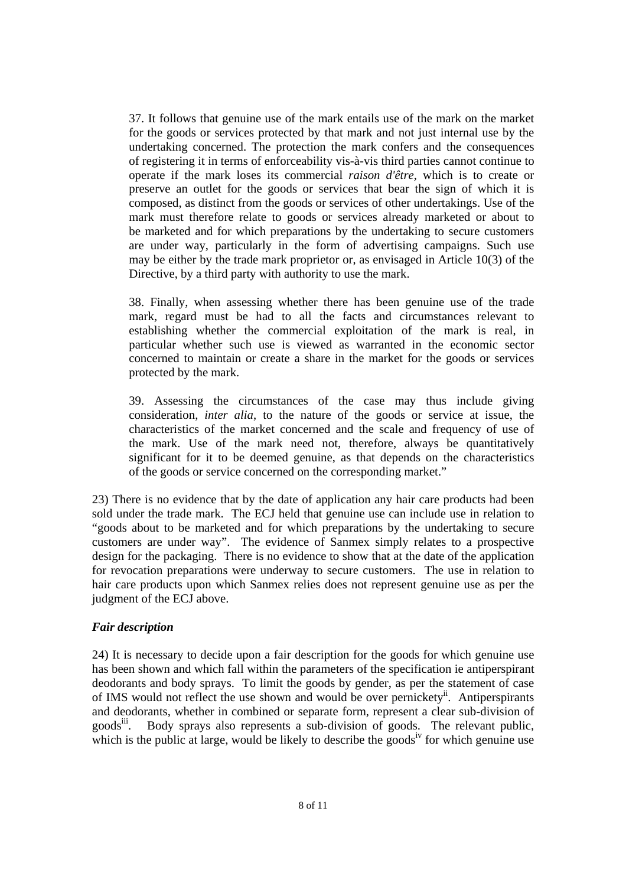37. It follows that genuine use of the mark entails use of the mark on the market for the goods or services protected by that mark and not just internal use by the undertaking concerned. The protection the mark confers and the consequences of registering it in terms of enforceability vis-à-vis third parties cannot continue to operate if the mark loses its commercial *raison d'être*, which is to create or preserve an outlet for the goods or services that bear the sign of which it is composed, as distinct from the goods or services of other undertakings. Use of the mark must therefore relate to goods or services already marketed or about to be marketed and for which preparations by the undertaking to secure customers are under way, particularly in the form of advertising campaigns. Such use may be either by the trade mark proprietor or, as envisaged in Article 10(3) of the Directive, by a third party with authority to use the mark.

 38. Finally, when assessing whether there has been genuine use of the trade mark, regard must be had to all the facts and circumstances relevant to establishing whether the commercial exploitation of the mark is real, in particular whether such use is viewed as warranted in the economic sector concerned to maintain or create a share in the market for the goods or services protected by the mark.

 39. Assessing the circumstances of the case may thus include giving consideration, *inter alia*, to the nature of the goods or service at issue, the characteristics of the market concerned and the scale and frequency of use of the mark. Use of the mark need not, therefore, always be quantitatively significant for it to be deemed genuine, as that depends on the characteristics of the goods or service concerned on the corresponding market."

23) There is no evidence that by the date of application any hair care products had been sold under the trade mark. The ECJ held that genuine use can include use in relation to "goods about to be marketed and for which preparations by the undertaking to secure customers are under way". The evidence of Sanmex simply relates to a prospective design for the packaging. There is no evidence to show that at the date of the application for revocation preparations were underway to secure customers. The use in relation to hair care products upon which Sanmex relies does not represent genuine use as per the judgment of the ECJ above.

#### *Fair description*

24) It is necessary to decide upon a fair description for the goods for which genuine use has been shown and which fall within the parameters of the specification ie antiperspirant deodorants and body sprays. To limit the goods by gender, as per the statement of case of IMS would not reflect the use shown and would be over pernickety<sup>ii</sup>. Antiperspirants and deodorants, whether in combined or separate form, represent a clear sub-division of goods<sup>iii</sup>. Body sprays also represents a sub-division of goods. The relevant public, which is the public at large, would be likely to describe the goods<sup>iv</sup> for which genuine use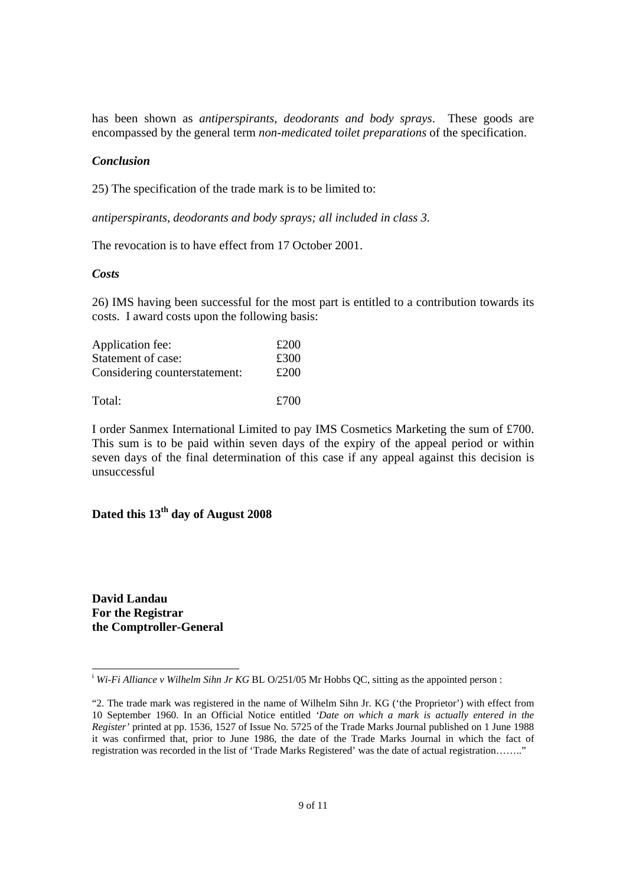has been shown as *antiperspirants, deodorants and body sprays*. These goods are encompassed by the general term *non-medicated toilet preparations* of the specification.

#### *Conclusion*

25) The specification of the trade mark is to be limited to:

*antiperspirants, deodorants and body sprays; all included in class 3.* 

The revocation is to have effect from 17 October 2001.

#### *Costs*

26) IMS having been successful for the most part is entitled to a contribution towards its costs. I award costs upon the following basis:

| Application fee:              | £200 |
|-------------------------------|------|
| Statement of case:            | £300 |
| Considering counterstatement: | £200 |
| Total:                        | £700 |

I order Sanmex International Limited to pay IMS Cosmetics Marketing the sum of £700. This sum is to be paid within seven days of the expiry of the appeal period or within seven days of the final determination of this case if any appeal against this decision is unsuccessful

## **Dated this 13th day of August 2008**

**David Landau For the Registrar the Comptroller-General** 

l

<sup>&</sup>lt;sup>i</sup> Wi-Fi Alliance v Wilhelm Sihn Jr KG BL O/251/05 Mr Hobbs QC, sitting as the appointed person :

<sup>&</sup>quot;2. The trade mark was registered in the name of Wilhelm Sihn Jr. KG ('the Proprietor') with effect from 10 September 1960. In an Official Notice entitled *'Date on which a mark is actually entered in the Register'* printed at pp. 1536, 1527 of Issue No. 5725 of the Trade Marks Journal published on 1 June 1988 it was confirmed that, prior to June 1986, the date of the Trade Marks Journal in which the fact of registration was recorded in the list of 'Trade Marks Registered' was the date of actual registration…….."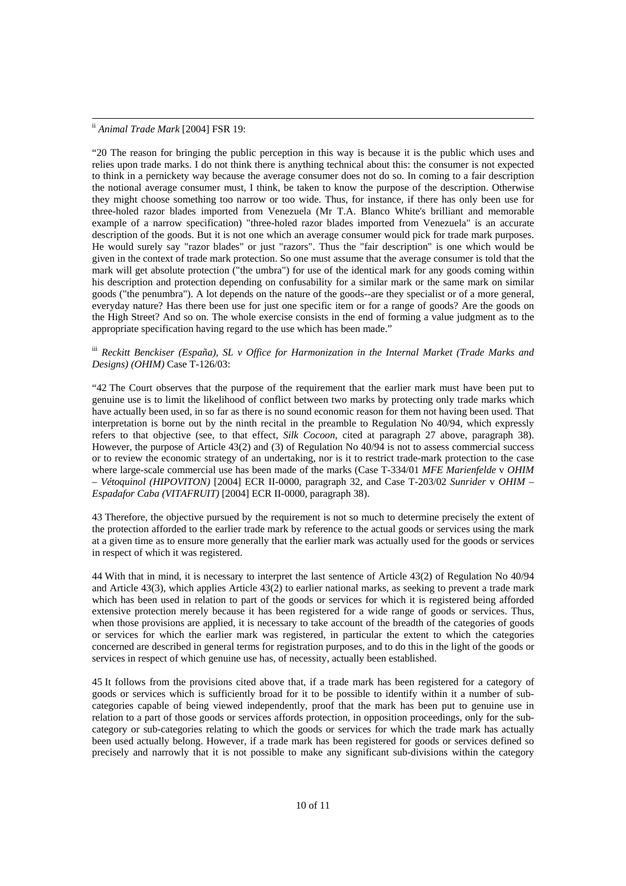#### ii *Animal Trade Mark* [2004] FSR 19:

"20 The reason for bringing the public perception in this way is because it is the public which uses and relies upon trade marks. I do not think there is anything technical about this: the consumer is not expected to think in a pernickety way because the average consumer does not do so. In coming to a fair description the notional average consumer must, I think, be taken to know the purpose of the description. Otherwise they might choose something too narrow or too wide. Thus, for instance, if there has only been use for three-holed razor blades imported from Venezuela (Mr T.A. Blanco White's brilliant and memorable example of a narrow specification) "three-holed razor blades imported from Venezuela" is an accurate description of the goods. But it is not one which an average consumer would pick for trade mark purposes. He would surely say "razor blades" or just "razors". Thus the "fair description" is one which would be given in the context of trade mark protection. So one must assume that the average consumer is told that the mark will get absolute protection ("the umbra") for use of the identical mark for any goods coming within his description and protection depending on confusability for a similar mark or the same mark on similar goods ("the penumbra"). A lot depends on the nature of the goods--are they specialist or of a more general, everyday nature? Has there been use for just one specific item or for a range of goods? Are the goods on the High Street? And so on. The whole exercise consists in the end of forming a value judgment as to the appropriate specification having regard to the use which has been made."

#### iii *Reckitt Benckiser (España), SL v Office for Harmonization in the Internal Market (Trade Marks and Designs) (OHIM)* Case T-126/03:

"42 The Court observes that the purpose of the requirement that the earlier mark must have been put to genuine use is to limit the likelihood of conflict between two marks by protecting only trade marks which have actually been used, in so far as there is no sound economic reason for them not having been used. That interpretation is borne out by the ninth recital in the preamble to Regulation No 40/94, which expressly refers to that objective (see, to that effect, *Silk Cocoon*, cited at paragraph 27 above, paragraph 38). However, the purpose of Article 43(2) and (3) of Regulation No 40/94 is not to assess commercial success or to review the economic strategy of an undertaking, nor is it to restrict trade-mark protection to the case where large-scale commercial use has been made of the marks (Case T-334/01 *MFE Marienfelde* v *OHIM – Vétoquinol (HIPOVITON)* [2004] ECR II-0000, paragraph 32, and Case T-203/02 *Sunrider* v *OHIM – Espadafor Caba (VITAFRUIT)* [2004] ECR II-0000, paragraph 38).

43 Therefore, the objective pursued by the requirement is not so much to determine precisely the extent of the protection afforded to the earlier trade mark by reference to the actual goods or services using the mark at a given time as to ensure more generally that the earlier mark was actually used for the goods or services in respect of which it was registered.

44 With that in mind, it is necessary to interpret the last sentence of Article 43(2) of Regulation No 40/94 and Article 43(3), which applies Article 43(2) to earlier national marks, as seeking to prevent a trade mark which has been used in relation to part of the goods or services for which it is registered being afforded extensive protection merely because it has been registered for a wide range of goods or services. Thus, when those provisions are applied, it is necessary to take account of the breadth of the categories of goods or services for which the earlier mark was registered, in particular the extent to which the categories concerned are described in general terms for registration purposes, and to do this in the light of the goods or services in respect of which genuine use has, of necessity, actually been established.

45 It follows from the provisions cited above that, if a trade mark has been registered for a category of goods or services which is sufficiently broad for it to be possible to identify within it a number of subcategories capable of being viewed independently, proof that the mark has been put to genuine use in relation to a part of those goods or services affords protection, in opposition proceedings, only for the subcategory or sub-categories relating to which the goods or services for which the trade mark has actually been used actually belong. However, if a trade mark has been registered for goods or services defined so precisely and narrowly that it is not possible to make any significant sub-divisions within the category